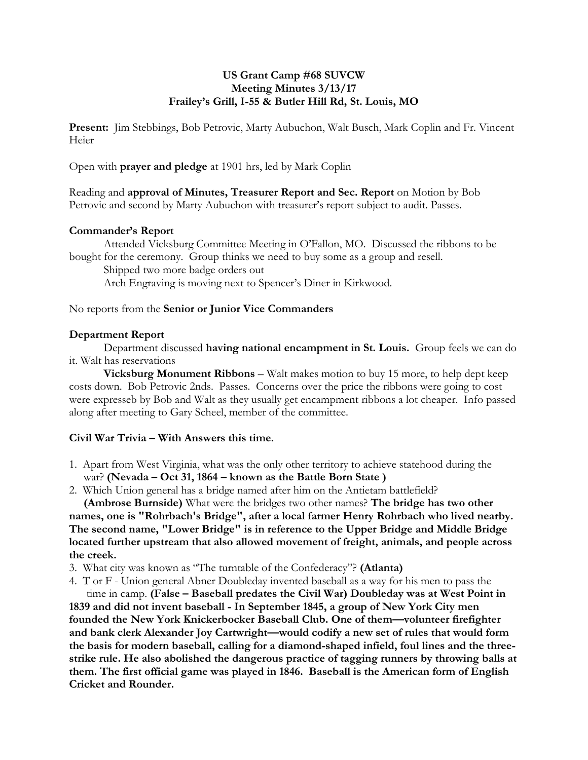## **US Grant Camp #68 SUVCW Meeting Minutes 3/13/17 Frailey's Grill, I-55 & Butler Hill Rd, St. Louis, MO**

**Present:** Jim Stebbings, Bob Petrovic, Marty Aubuchon, Walt Busch, Mark Coplin and Fr. Vincent Heier

Open with **prayer and pledge** at 1901 hrs, led by Mark Coplin

Reading and **approval of Minutes, Treasurer Report and Sec. Report** on Motion by Bob Petrovic and second by Marty Aubuchon with treasurer's report subject to audit. Passes.

#### **Commander's Report**

Attended Vicksburg Committee Meeting in O'Fallon, MO. Discussed the ribbons to be bought for the ceremony. Group thinks we need to buy some as a group and resell.

Shipped two more badge orders out

Arch Engraving is moving next to Spencer's Diner in Kirkwood.

## No reports from the **Senior or Junior Vice Commanders**

#### **Department Report**

Department discussed **having national encampment in St. Louis.** Group feels we can do it. Walt has reservations

**Vicksburg Monument Ribbons** – Walt makes motion to buy 15 more, to help dept keep costs down. Bob Petrovic 2nds. Passes. Concerns over the price the ribbons were going to cost were expresseb by Bob and Walt as they usually get encampment ribbons a lot cheaper. Info passed along after meeting to Gary Scheel, member of the committee.

## **Civil War Trivia – With Answers this time.**

- 1. Apart from West Virginia, what was the only other territory to achieve statehood during the war? **(Nevada – Oct 31, 1864 – known as the Battle Born State )**
- 2. Which Union general has a bridge named after him on the Antietam battlefield?

 **(Ambrose Burnside)** What were the bridges two other names? **The bridge has two other names, one is "Rohrbach's Bridge", after a local farmer Henry Rohrbach who lived nearby. The second name, "Lower Bridge" is in reference to the Upper Bridge and Middle Bridge located further upstream that also allowed movement of freight, animals, and people across the creek.**

- 3. What city was known as "The turntable of the Confederacy"? **(Atlanta)**
- 4. T or F Union general Abner Doubleday invented baseball as a way for his men to pass the

 time in camp. **(False – Baseball predates the Civil War) Doubleday was at West Point in 1839 and did not invent baseball - In September 1845, a group of New York City men founded the New York Knickerbocker Baseball Club. One of them—volunteer firefighter and bank clerk Alexander Joy Cartwright—would codify a new set of rules that would form the basis for modern baseball, calling for a diamond-shaped infield, foul lines and the threestrike rule. He also abolished the dangerous practice of tagging runners by throwing balls at them. The first official game was played in 1846. Baseball is the American form of English Cricket and Rounder.**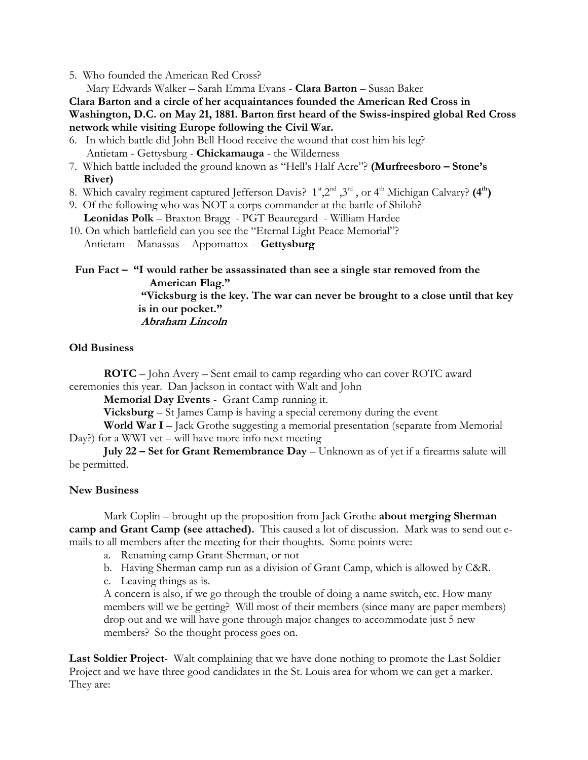5. Who founded the American Red Cross?

Mary Edwards Walker – Sarah Emma Evans - **Clara Barton** – Susan Baker

**Clara Barton and a circle of her acquaintances founded the American Red Cross in Washington, D.C. on May 21, 1881. Barton first heard of the Swiss-inspired global Red Cross network while visiting Europe following the Civil War.**

6. In which battle did John Bell Hood receive the wound that cost him his leg? Antietam - Gettysburg - **Chickamauga** - the Wilderness

- 7. Which battle included the ground known as "Hell's Half Acre"? **(Murfreesboro – Stone's River)**
- 8. Which cavalry regiment captured Jefferson Davis?  $1^{\text{st}}$ ,  $2^{\text{nd}}$  ,  $3^{\text{rd}}$  , or  $4^{\text{th}}$  Michigan Calvary?  $(4^{\text{th}})$
- 9. Of the following who was NOT a corps commander at the battle of Shiloh? **Leonidas Polk** – Braxton Bragg - PGT Beauregard - William Hardee
- 10. On which battlefield can you see the "Eternal Light Peace Memorial"? Antietam - Manassas - Appomattox - **Gettysburg**

 **Fun Fact – "I would rather be assassinated than see a single star removed from the American Flag."** 

 **"Vicksburg is the key. The war can never be brought to a close until that key is in our pocket."**

 **Abraham Lincoln**

## **Old Business**

**ROTC** – John Avery – Sent email to camp regarding who can cover ROTC award ceremonies this year. Dan Jackson in contact with Walt and John

**Memorial Day Events** - Grant Camp running it.

**Vicksburg** – St James Camp is having a special ceremony during the event

**World War I** – Jack Grothe suggesting a memorial presentation (separate from Memorial Day?) for a WWI vet – will have more info next meeting

**July 22 – Set for Grant Remembrance Day** – Unknown as of yet if a firearms salute will be permitted.

## **New Business**

Mark Coplin – brought up the proposition from Jack Grothe **about merging Sherman camp and Grant Camp (see attached).** This caused a lot of discussion. Mark was to send out emails to all members after the meeting for their thoughts. Some points were:

- a. Renaming camp Grant-Sherman, or not
- b. Having Sherman camp run as a division of Grant Camp, which is allowed by C&R.
- c. Leaving things as is.

A concern is also, if we go through the trouble of doing a name switch, etc. How many members will we be getting? Will most of their members (since many are paper members) drop out and we will have gone through major changes to accommodate just 5 new members? So the thought process goes on.

**Last Soldier Project**- Walt complaining that we have done nothing to promote the Last Soldier Project and we have three good candidates in the St. Louis area for whom we can get a marker. They are: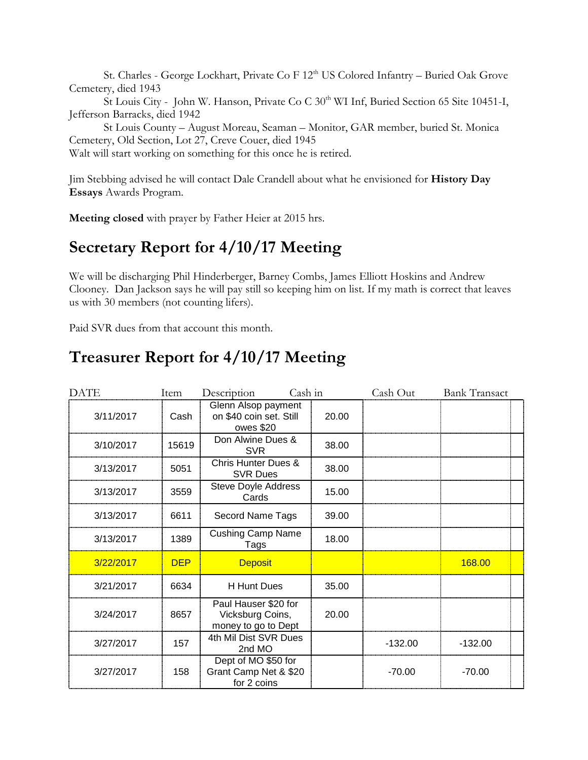St. Charles - George Lockhart, Private Co F 12<sup>th</sup> US Colored Infantry – Buried Oak Grove Cemetery, died 1943

St Louis City - John W. Hanson, Private Co C  $30<sup>th</sup>$  WI Inf, Buried Section 65 Site 10451-I, Jefferson Barracks, died 1942

St Louis County – August Moreau, Seaman – Monitor, GAR member, buried St. Monica Cemetery, Old Section, Lot 27, Creve Couer, died 1945

Walt will start working on something for this once he is retired.

Jim Stebbing advised he will contact Dale Crandell about what he envisioned for **History Day Essays** Awards Program.

**Meeting closed** with prayer by Father Heier at 2015 hrs.

## **Secretary Report for 4/10/17 Meeting**

We will be discharging Phil Hinderberger, Barney Combs, James Elliott Hoskins and Andrew Clooney. Dan Jackson says he will pay still so keeping him on list. If my math is correct that leaves us with 30 members (not counting lifers).

Paid SVR dues from that account this month.

# **Treasurer Report for 4/10/17 Meeting**

| <b>DATE</b> | Item       | Description                                                     | Cash in | Cash Out  | <b>Bank Transact</b> |  |
|-------------|------------|-----------------------------------------------------------------|---------|-----------|----------------------|--|
| 3/11/2017   | Cash       | Glenn Alsop payment<br>on \$40 coin set. Still<br>owes \$20     | 20.00   |           |                      |  |
| 3/10/2017   | 15619      | Don Alwine Dues &<br><b>SVR</b>                                 | 38.00   |           |                      |  |
| 3/13/2017   | 5051       | <b>Chris Hunter Dues &amp;</b><br><b>SVR Dues</b>               | 38.00   |           |                      |  |
| 3/13/2017   | 3559       | <b>Steve Doyle Address</b><br>Cards                             | 15.00   |           |                      |  |
| 3/13/2017   | 6611       | Secord Name Tags                                                | 39.00   |           |                      |  |
| 3/13/2017   | 1389       | <b>Cushing Camp Name</b><br>Tags                                | 18.00   |           |                      |  |
| 3/22/2017   | <b>DEP</b> | <b>Deposit</b>                                                  |         |           | 168.00               |  |
| 3/21/2017   | 6634       | <b>H</b> Hunt Dues                                              | 35.00   |           |                      |  |
| 3/24/2017   | 8657       | Paul Hauser \$20 for<br>Vicksburg Coins,<br>money to go to Dept | 20.00   |           |                      |  |
| 3/27/2017   | 157        | 4th Mil Dist SVR Dues<br>2nd MO                                 |         | $-132.00$ | $-132.00$            |  |
| 3/27/2017   | 158        | Dept of MO \$50 for<br>Grant Camp Net & \$20<br>for 2 coins     |         | $-70.00$  | $-70.00$             |  |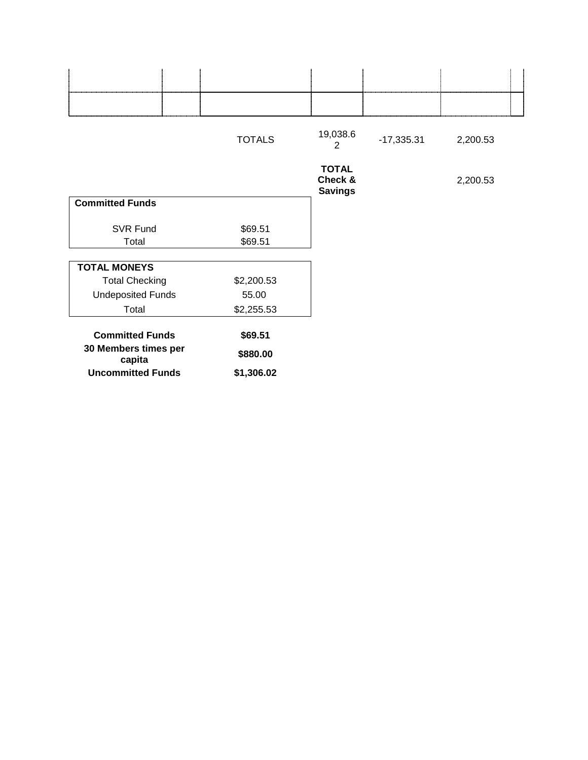|                                | <b>TOTALS</b> | 19,038.6<br>2                             | $-17,335.31$ | 2,200.53 |  |
|--------------------------------|---------------|-------------------------------------------|--------------|----------|--|
|                                |               | <b>TOTAL</b><br>Check &<br><b>Savings</b> |              | 2,200.53 |  |
| <b>Committed Funds</b>         |               |                                           |              |          |  |
| SVR Fund                       | \$69.51       |                                           |              |          |  |
| Total                          | \$69.51       |                                           |              |          |  |
| <b>TOTAL MONEYS</b>            |               |                                           |              |          |  |
| <b>Total Checking</b>          | \$2,200.53    |                                           |              |          |  |
| <b>Undeposited Funds</b>       | 55.00         |                                           |              |          |  |
| Total                          | \$2,255.53    |                                           |              |          |  |
| <b>Committed Funds</b>         | \$69.51       |                                           |              |          |  |
| 30 Members times per<br>capita | \$880.00      |                                           |              |          |  |
| <b>Uncommitted Funds</b>       | \$1,306.02    |                                           |              |          |  |